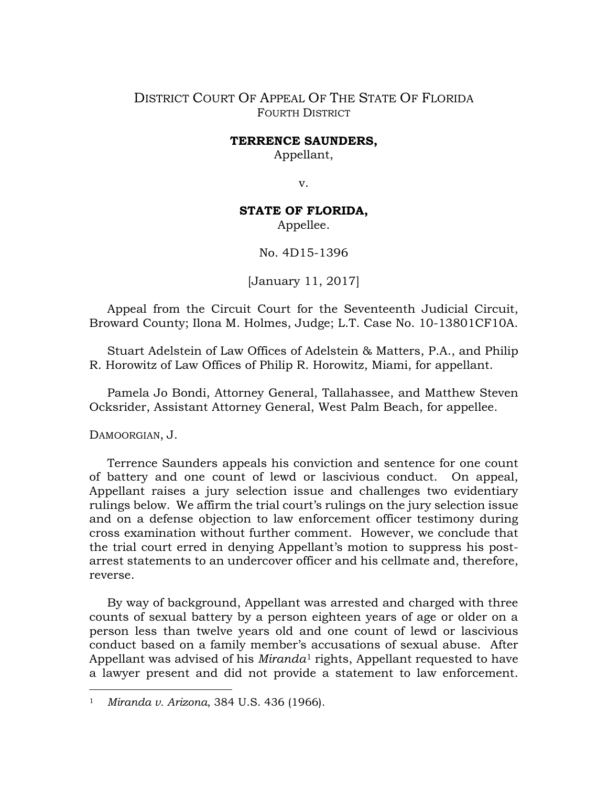## DISTRICT COURT OF APPEAL OF THE STATE OF FLORIDA FOURTH DISTRICT

## **TERRENCE SAUNDERS,**

Appellant,

v.

## **STATE OF FLORIDA,**

Appellee.

No. 4D15-1396

[January 11, 2017]

Appeal from the Circuit Court for the Seventeenth Judicial Circuit, Broward County; Ilona M. Holmes, Judge; L.T. Case No. 10-13801CF10A.

Stuart Adelstein of Law Offices of Adelstein & Matters, P.A., and Philip R. Horowitz of Law Offices of Philip R. Horowitz, Miami, for appellant.

Pamela Jo Bondi, Attorney General, Tallahassee, and Matthew Steven Ocksrider, Assistant Attorney General, West Palm Beach, for appellee.

DAMOORGIAN, J.

 $\overline{a}$ 

Terrence Saunders appeals his conviction and sentence for one count of battery and one count of lewd or lascivious conduct. On appeal, Appellant raises a jury selection issue and challenges two evidentiary rulings below. We affirm the trial court's rulings on the jury selection issue and on a defense objection to law enforcement officer testimony during cross examination without further comment. However, we conclude that the trial court erred in denying Appellant's motion to suppress his postarrest statements to an undercover officer and his cellmate and, therefore, reverse.

By way of background, Appellant was arrested and charged with three counts of sexual battery by a person eighteen years of age or older on a person less than twelve years old and one count of lewd or lascivious conduct based on a family member's accusations of sexual abuse. After Appellant was advised of his *Miranda*[1](#page-0-0) rights, Appellant requested to have a lawyer present and did not provide a statement to law enforcement.

<span id="page-0-0"></span><sup>1</sup> *Miranda v. Arizona*, 384 U.S. 436 (1966).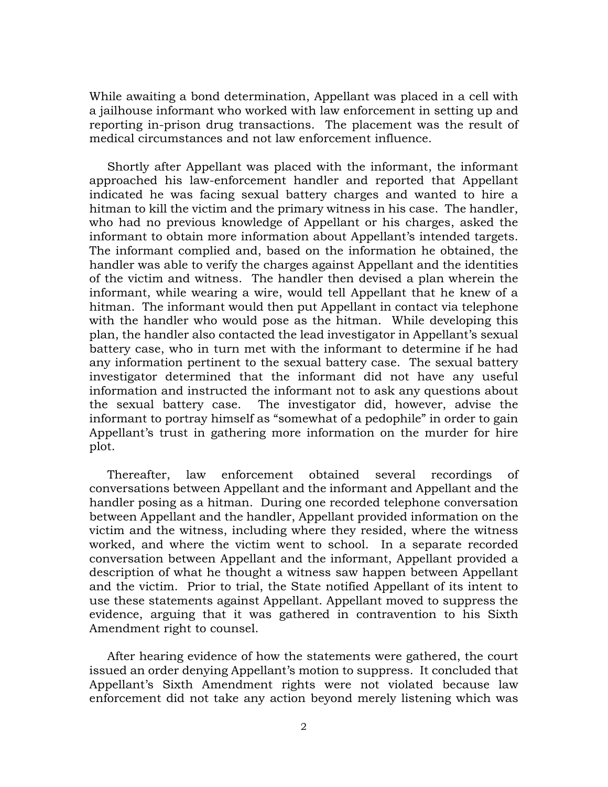While awaiting a bond determination, Appellant was placed in a cell with a jailhouse informant who worked with law enforcement in setting up and reporting in-prison drug transactions. The placement was the result of medical circumstances and not law enforcement influence.

Shortly after Appellant was placed with the informant, the informant approached his law-enforcement handler and reported that Appellant indicated he was facing sexual battery charges and wanted to hire a hitman to kill the victim and the primary witness in his case. The handler, who had no previous knowledge of Appellant or his charges, asked the informant to obtain more information about Appellant's intended targets. The informant complied and, based on the information he obtained, the handler was able to verify the charges against Appellant and the identities of the victim and witness. The handler then devised a plan wherein the informant, while wearing a wire, would tell Appellant that he knew of a hitman. The informant would then put Appellant in contact via telephone with the handler who would pose as the hitman. While developing this plan, the handler also contacted the lead investigator in Appellant's sexual battery case, who in turn met with the informant to determine if he had any information pertinent to the sexual battery case. The sexual battery investigator determined that the informant did not have any useful information and instructed the informant not to ask any questions about the sexual battery case. The investigator did, however, advise the informant to portray himself as "somewhat of a pedophile" in order to gain Appellant's trust in gathering more information on the murder for hire plot.

Thereafter, law enforcement obtained several recordings of conversations between Appellant and the informant and Appellant and the handler posing as a hitman. During one recorded telephone conversation between Appellant and the handler, Appellant provided information on the victim and the witness, including where they resided, where the witness worked, and where the victim went to school. In a separate recorded conversation between Appellant and the informant, Appellant provided a description of what he thought a witness saw happen between Appellant and the victim. Prior to trial, the State notified Appellant of its intent to use these statements against Appellant. Appellant moved to suppress the evidence, arguing that it was gathered in contravention to his Sixth Amendment right to counsel.

After hearing evidence of how the statements were gathered, the court issued an order denying Appellant's motion to suppress. It concluded that Appellant's Sixth Amendment rights were not violated because law enforcement did not take any action beyond merely listening which was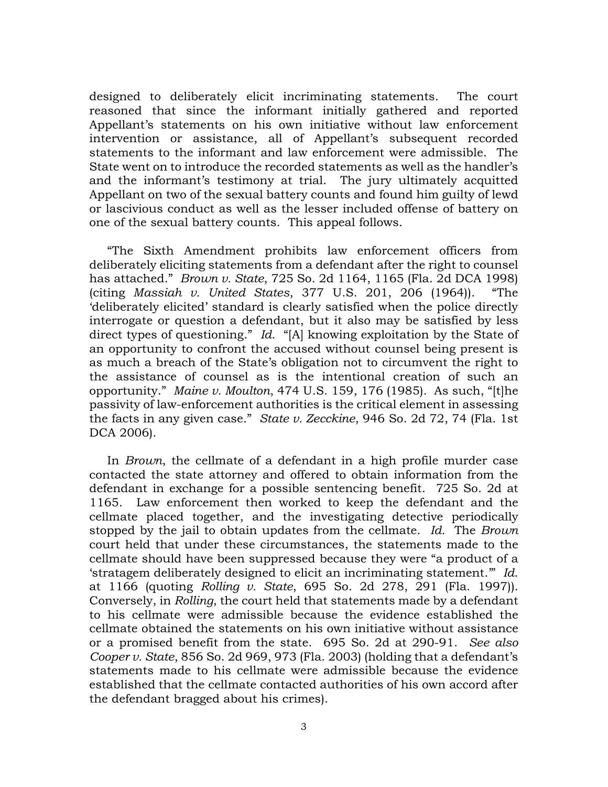designed to deliberately elicit incriminating statements. The court reasoned that since the informant initially gathered and reported Appellant's statements on his own initiative without law enforcement intervention or assistance, all of Appellant's subsequent recorded statements to the informant and law enforcement were admissible. The State went on to introduce the recorded statements as well as the handler's and the informant's testimony at trial. The jury ultimately acquitted Appellant on two of the sexual battery counts and found him guilty of lewd or lascivious conduct as well as the lesser included offense of battery on one of the sexual battery counts. This appeal follows.

"The Sixth Amendment prohibits law enforcement officers from deliberately eliciting statements from a defendant after the right to counsel has attached." *Brown v. State*, 725 So. 2d 1164, 1165 (Fla. 2d DCA 1998) (citing *Massiah v. United States*, 377 U.S. 201, 206 (1964)). "The 'deliberately elicited' standard is clearly satisfied when the police directly interrogate or question a defendant, but it also may be satisfied by less direct types of questioning." *Id*. "[A] knowing exploitation by the State of an opportunity to confront the accused without counsel being present is as much a breach of the State's obligation not to circumvent the right to the assistance of counsel as is the intentional creation of such an opportunity." *Maine v. Moulton*, 474 U.S. 159, 176 (1985). As such, "[t]he passivity of law-enforcement authorities is the critical element in assessing the facts in any given case." *State v. Zecckine*, 946 So. 2d 72, 74 (Fla. 1st DCA 2006).

In *Brown*, the cellmate of a defendant in a high profile murder case contacted the state attorney and offered to obtain information from the defendant in exchange for a possible sentencing benefit. 725 So. 2d at 1165. Law enforcement then worked to keep the defendant and the cellmate placed together, and the investigating detective periodically stopped by the jail to obtain updates from the cellmate. *Id.* The *Brown* court held that under these circumstances, the statements made to the cellmate should have been suppressed because they were "a product of a 'stratagem deliberately designed to elicit an incriminating statement.'" *[Id](https://www.westlaw.com/Document/Ia602a2540c1411d98220e6fa99ecd085/View/FullText.html?transitionType=Default&contextData=(sc.Default)&VR=3.0&RS=da3.0&fragmentIdentifier=co_pp_sp_735_1166)*. [at 1166](https://www.westlaw.com/Document/Ia602a2540c1411d98220e6fa99ecd085/View/FullText.html?transitionType=Default&contextData=(sc.Default)&VR=3.0&RS=da3.0&fragmentIdentifier=co_pp_sp_735_1166) (quoting *Rolling v. State*, 695 So. 2d 278, 291 (Fla. 1997)). Conversely, in *Rolling*, the court held that statements made by a defendant to his cellmate were admissible because the evidence established the cellmate obtained the statements on his own initiative without assistance or a promised benefit from the state. 695 So. 2d at 290-91. *See also Cooper v. State*, 856 So. 2d 969, 973 (Fla. 2003) (holding that a defendant's statements made to his cellmate were admissible because the evidence established that the cellmate contacted authorities of his own accord after the defendant bragged about his crimes).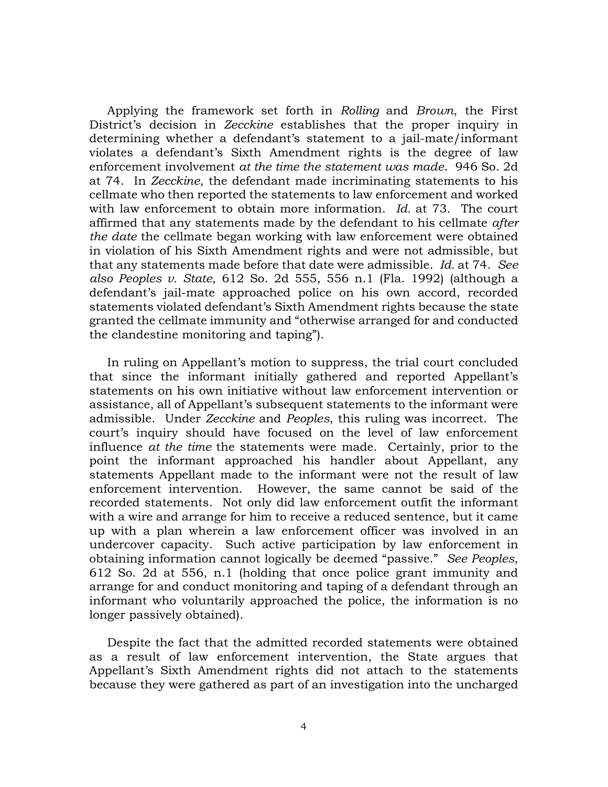Applying the framework set forth in *[Rolling](https://www.westlaw.com/Document/Ia1741d430c8711d9bc18e8274af85244/View/FullText.html?transitionType=Default&contextData=(sc.Default)&VR=3.0&RS=da3.0)* and *Brown*, the First District's decision in *Zecckine* establishes that the proper inquiry in determining whether a defendant's statement to a jail-mate/informant violates a defendant's Sixth Amendment rights is the degree of law enforcement involvement *at the time the statement was made*. 946 So. 2d at 74. In *Zecckine*, the defendant made incriminating statements to his cellmate who then reported the statements to law enforcement and worked with law enforcement to obtain more information. *Id.* [at 73.](https://www.westlaw.com/Document/I8a31bd0591c211db9127cf4cfcf88547/View/FullText.html?transitionType=Default&contextData=(sc.Default)&VR=3.0&RS=da3.0&fragmentIdentifier=co_pp_sp_735_73) The court affirmed that any statements made by the defendant to his cellmate *after the date* the cellmate began working with law enforcement were obtained in violation of his Sixth Amendment rights and were not admissible, but that any statements made before that date were admissible. *Id.* [at 74.](https://www.westlaw.com/Document/I8a31bd0591c211db9127cf4cfcf88547/View/FullText.html?transitionType=Default&contextData=(sc.Default)&VR=3.0&RS=da3.0&fragmentIdentifier=co_pp_sp_735_74) *See also Peoples v. State*[, 612 So. 2d 555, 556](https://www.westlaw.com/Document/I6327e1270c8211d9bc18e8274af85244/View/FullText.html?transitionType=Default&contextData=(sc.Default)&VR=3.0&RS=da3.0&fragmentIdentifier=co_pp_sp_735_557+n.1) n.1 (Fla. 1992) (although a defendant's jail-mate approached police on his own accord, recorded statements violated defendant's Sixth Amendment rights because the state granted the cellmate immunity and "otherwise arranged for and conducted the clandestine monitoring and taping").

In ruling on Appellant's motion to suppress, the trial court concluded that since the informant initially gathered and reported Appellant's statements on his own initiative without law enforcement intervention or assistance, all of Appellant's subsequent statements to the informant were admissible. Under *Zecckine* and *Peoples*, this ruling was incorrect. The court's inquiry should have focused on the level of law enforcement influence *at the time* the statements were made. Certainly, prior to the point the informant approached his handler about Appellant, any statements Appellant made to the informant were not the result of law enforcement intervention. However, the same cannot be said of the recorded statements. Not only did law enforcement outfit the informant with a wire and arrange for him to receive a reduced sentence, but it came up with a plan wherein a law enforcement officer was involved in an undercover capacity. Such active participation by law enforcement in obtaining information cannot logically be deemed "passive." *See Peoples*, 612 So. 2d at 556, n.1 (holding that once police grant immunity and arrange for and conduct monitoring and taping of a defendant through an informant who voluntarily approached the police, the information is no longer passively obtained).

Despite the fact that the admitted recorded statements were obtained as a result of law enforcement intervention, the State argues that Appellant's Sixth Amendment rights did not attach to the statements because they were gathered as part of an investigation into the uncharged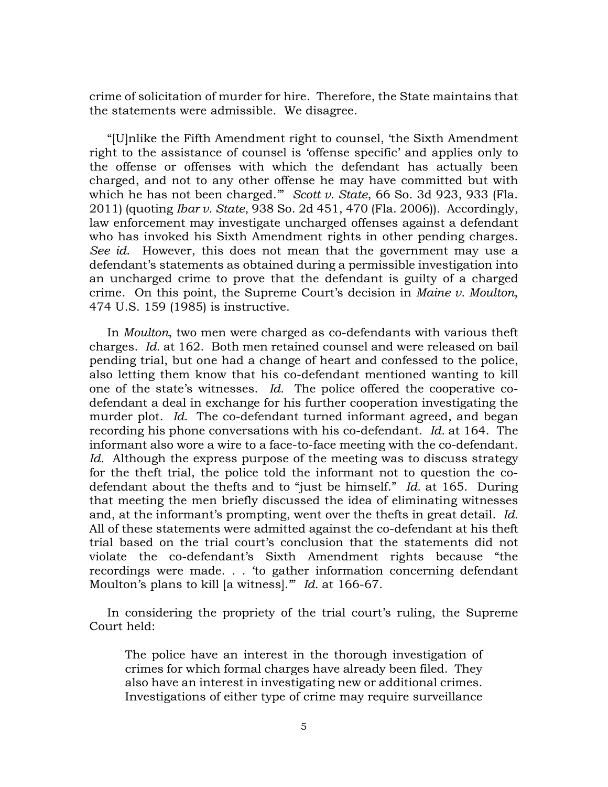crime of solicitation of murder for hire. Therefore, the State maintains that the statements were admissible. We disagree.

"[U]nlike the Fifth Amendment right to counsel, 'the Sixth Amendment right to the assistance of counsel is 'offense specific' and applies only to the offense or offenses with which the defendant has actually been charged, and not to any other offense he may have committed but with which he has not been charged.'" *Scott v. State*, 66 So. 3d 923, 933 (Fla. 2011) (quoting *Ibar v. State*, 938 So. 2d 451, 470 (Fla. 2006)). Accordingly, law enforcement may investigate uncharged offenses against a defendant who has invoked his Sixth Amendment rights in other pending charges. *See id*. However, this does not mean that the government may use a defendant's statements as obtained during a permissible investigation into an uncharged crime to prove that the defendant is guilty of a charged crime. On this point, the Supreme Court's decision in *Maine v. Moulton*, 474 U.S. 159 (1985) is instructive.

In *Moulton*, two men were charged as co-defendants with various theft charges. *Id.* at 162. Both men retained counsel and were released on bail pending trial, but one had a change of heart and confessed to the police, also letting them know that his co-defendant mentioned wanting to kill one of the state's witnesses. *Id.* The police offered the cooperative codefendant a deal in exchange for his further cooperation investigating the murder plot. *Id.* The co-defendant turned informant agreed, and began recording his phone conversations with his co-defendant. *Id.* at 164. The informant also wore a wire to a face-to-face meeting with the co-defendant. Id. Although the express purpose of the meeting was to discuss strategy for the theft trial, the police told the informant not to question the codefendant about the thefts and to "just be himself." *Id.* at 165. During that meeting the men briefly discussed the idea of eliminating witnesses and, at the informant's prompting, went over the thefts in great detail. *Id.*  All of these statements were admitted against the co-defendant at his theft trial based on the trial court's conclusion that the statements did not violate the co-defendant's Sixth Amendment rights because "the recordings were made. . . 'to gather information concerning defendant Moulton's plans to kill [a witness].'" *Id.* [at 166-67.](https://www.westlaw.com/Document/Id4c5fcd19c1d11d991d0cc6b54f12d4d/View/FullText.html?transitionType=Default&contextData=(sc.Default)&VR=3.0&RS=da3.0&fragmentIdentifier=co_pp_sp_780_166)

In considering the propriety of the trial court's ruling, the Supreme Court held:

The police have an interest in the thorough investigation of crimes for which formal charges have already been filed. They also have an interest in investigating new or additional crimes. Investigations of either type of crime may require surveillance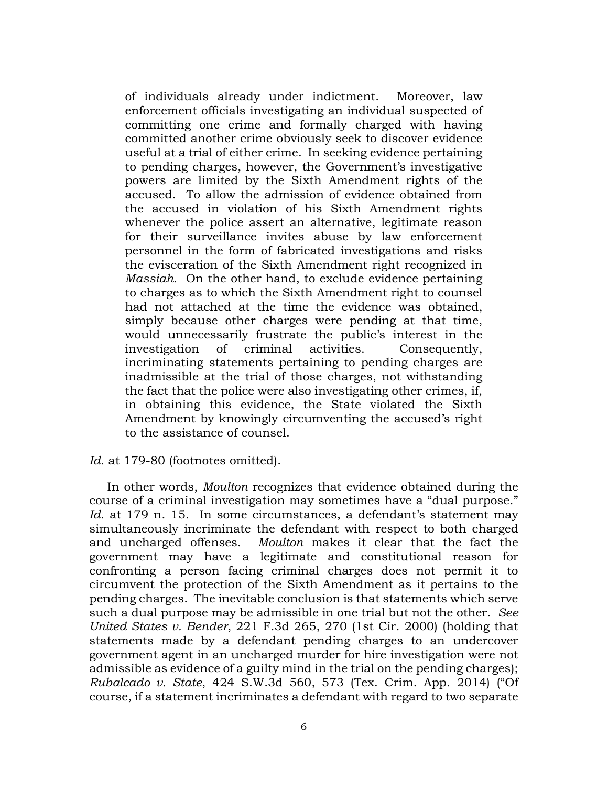of individuals already under indictment. Moreover, law enforcement officials investigating an individual suspected of committing one crime and formally charged with having committed another crime obviously seek to discover evidence useful at a trial of either crime. In seeking evidence pertaining to pending charges, however, the Government's investigative powers are limited by the Sixth Amendment rights of the accused. To allow the admission of evidence obtained from the accused in violation of his Sixth Amendment rights whenever the police assert an alternative, legitimate reason for their surveillance invites abuse by law enforcement personnel in the form of fabricated investigations and risks the evisceration of the Sixth Amendment right recognized in *Massiah*. On the other hand, to exclude evidence pertaining to charges as to which the Sixth Amendment right to counsel had not attached at the time the evidence was obtained, simply because other charges were pending at that time, would unnecessarily frustrate the public's interest in the investigation of criminal activities. Consequently, incriminating statements pertaining to pending charges are inadmissible at the trial of those charges, not withstanding the fact that the police were also investigating other crimes, if, in obtaining this evidence, the State violated the Sixth Amendment by knowingly circumventing the accused's right to the assistance of counsel.

## Id. at 179-80 (footnotes omitted).

In other words, *Moulton* recognizes that evidence obtained during the course of a criminal investigation may sometimes have a "dual purpose." Id. at 179 n. 15. In some circumstances, a defendant's statement may simultaneously incriminate the defendant with respect to both charged and uncharged offenses. *Moulton* makes it clear that the fact the government may have a legitimate and constitutional reason for confronting a person facing criminal charges does not permit it to circumvent the protection of the Sixth Amendment as it pertains to the pending charges. The inevitable conclusion is that statements which serve such a dual purpose may be admissible in one trial but not the other. *See United States v. Bender*, 221 F.3d 265, 270 (1st Cir. 2000) (holding that statements made by a defendant pending charges to an undercover government agent in an uncharged murder for hire investigation were not admissible as evidence of a guilty mind in the trial on the pending charges); *Rubalcado v. State*, 424 S.W.3d 560, 573 (Tex. Crim. App. 2014) ("Of course, if a statement incriminates a defendant with regard to two separate